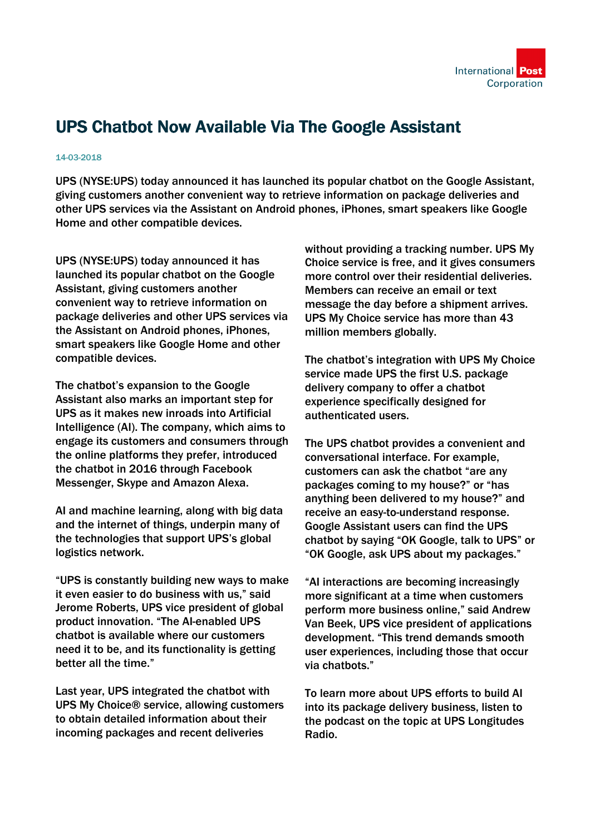

## UPS Chatbot Now Available Via The Google Assistant

## 14-03-2018

UPS (NYSE:UPS) today announced it has launched its popular chatbot on the Google Assistant, giving customers another convenient way to retrieve information on package deliveries and other UPS services via the Assistant on Android phones, iPhones, smart speakers like Google Home and other compatible devices.

UPS (NYSE:UPS) today announced it has launched its popular chatbot on the Google Assistant, giving customers another convenient way to retrieve information on package deliveries and other UPS services via the Assistant on Android phones, iPhones, smart speakers like Google Home and other compatible devices.

The chatbot's expansion to the Google Assistant also marks an important step for UPS as it makes new inroads into Artificial Intelligence (AI). The company, which aims to engage its customers and consumers through the online platforms they prefer, introduced the chatbot in 2016 through Facebook Messenger, Skype and Amazon Alexa.

AI and machine learning, along with big data and the internet of things, underpin many of the technologies that support UPS's global logistics network.

"UPS is constantly building new ways to make it even easier to do business with us," said Jerome Roberts, UPS vice president of global product innovation. "The AI-enabled UPS chatbot is available where our customers need it to be, and its functionality is getting better all the time."

Last year, UPS integrated the chatbot with UPS My Choice® service, allowing customers to obtain detailed information about their incoming packages and recent deliveries

without providing a tracking number. UPS My Choice service is free, and it gives consumers more control over their residential deliveries. Members can receive an email or text message the day before a shipment arrives. UPS My Choice service has more than 43 million members globally.

The chatbot's integration with UPS My Choice service made UPS the first U.S. package delivery company to offer a chatbot experience specifically designed for authenticated users.

The UPS chatbot provides a convenient and conversational interface. For example, customers can ask the chatbot "are any packages coming to my house?" or "has anything been delivered to my house?" and receive an easy-to-understand response. Google Assistant users can find the UPS chatbot by saying "OK Google, talk to UPS" or "OK Google, ask UPS about my packages."

"AI interactions are becoming increasingly more significant at a time when customers perform more business online," said Andrew Van Beek, UPS vice president of applications development. "This trend demands smooth user experiences, including those that occur via chatbots."

To learn more about UPS efforts to build AI into its package delivery business, listen to the podcast on the topic at UPS Longitudes Radio.